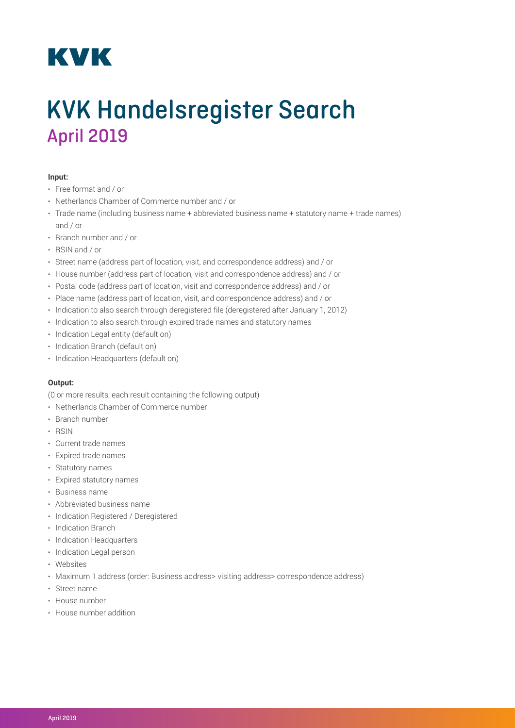## **KVK**

## KVK Handelsregister Search April 2019

## **Input:**

- Free format and / or
- Netherlands Chamber of Commerce number and / or
- Trade name (including business name + abbreviated business name + statutory name + trade names) and / or
- Branch number and / or
- RSIN and / or
- Street name (address part of location, visit, and correspondence address) and / or
- House number (address part of location, visit and correspondence address) and / or
- Postal code (address part of location, visit and correspondence address) and / or
- Place name (address part of location, visit, and correspondence address) and / or
- Indication to also search through deregistered file (deregistered after January 1, 2012)
- Indication to also search through expired trade names and statutory names
- Indication Legal entity (default on)
- Indication Branch (default on)
- Indication Headquarters (default on)

## **Output:**

(0 or more results, each result containing the following output)

- Netherlands Chamber of Commerce number
- Branch number
- RSIN
- Current trade names
- Expired trade names
- Statutory names
- Expired statutory names
- Business name
- Abbreviated business name
- Indication Registered / Deregistered
- Indication Branch
- Indication Headquarters
- Indication Legal person
- Websites
- Maximum 1 address (order: Business address> visiting address> correspondence address)
- Street name
- House number
- House number addition